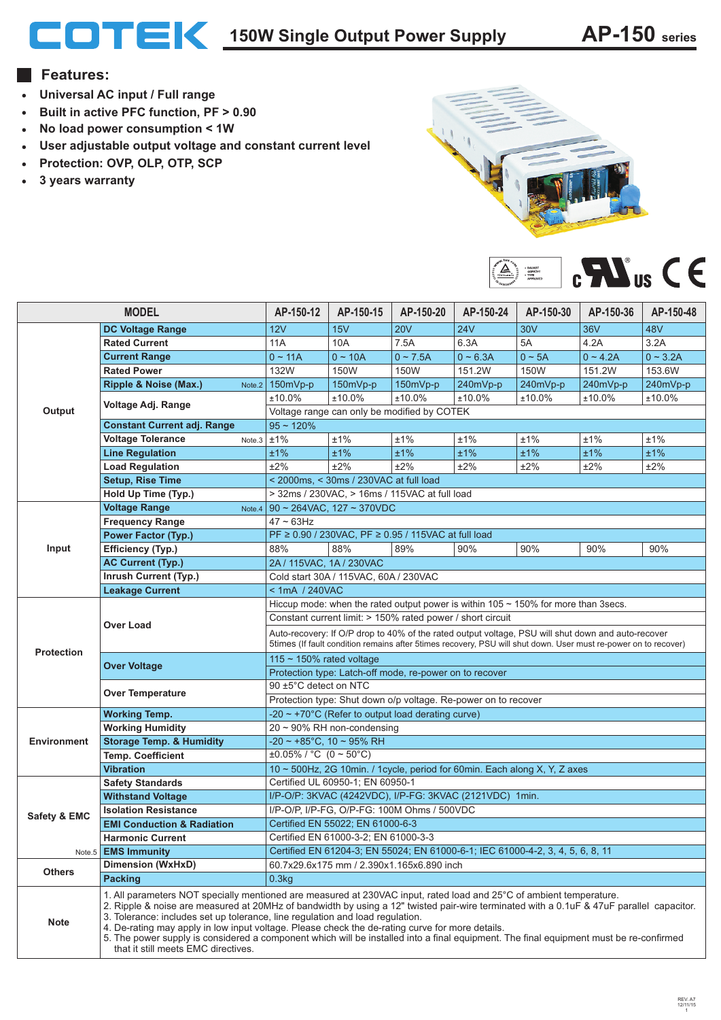# **150W Single Output Power Supply AP-150 series**

### **Features:**

- **Universal AC input / Full range**
- **Built in active PFC function, PF > 0.90**
- **No load power consumption < 1W**  $\bullet$
- **User adjustable output voltage and constant current level**
- **Protection: OVP, OLP, OTP, SCP**
- **3 years warranty**





| <b>MODEL</b>                             |                                                                                                                                                                                                                                                                                                                                                                                                                                                                                                                                                                                                                                      | AP-150-12                                                                                                                                                                                                             | AP-150-15                              | AP-150-20                                              | AP-150-24  | AP-150-30   | AP-150-36  | AP-150-48  |
|------------------------------------------|--------------------------------------------------------------------------------------------------------------------------------------------------------------------------------------------------------------------------------------------------------------------------------------------------------------------------------------------------------------------------------------------------------------------------------------------------------------------------------------------------------------------------------------------------------------------------------------------------------------------------------------|-----------------------------------------------------------------------------------------------------------------------------------------------------------------------------------------------------------------------|----------------------------------------|--------------------------------------------------------|------------|-------------|------------|------------|
|                                          | <b>DC Voltage Range</b>                                                                                                                                                                                                                                                                                                                                                                                                                                                                                                                                                                                                              | 12V                                                                                                                                                                                                                   | 15V                                    | <b>20V</b>                                             | <b>24V</b> | <b>30V</b>  | <b>36V</b> | 48V        |
| Output                                   | <b>Rated Current</b>                                                                                                                                                                                                                                                                                                                                                                                                                                                                                                                                                                                                                 | 11A                                                                                                                                                                                                                   | 10A                                    | 7.5A                                                   | 6.3A       | 5A          | 4.2A       | 3.2A       |
|                                          | <b>Current Range</b>                                                                                                                                                                                                                                                                                                                                                                                                                                                                                                                                                                                                                 | $0 - 11A$                                                                                                                                                                                                             | $0 - 10A$                              | $0 - 7.5A$                                             | $0 - 6.3A$ | $0 \sim 5A$ | $0 - 4.2A$ | $0 - 3.2A$ |
|                                          | <b>Rated Power</b>                                                                                                                                                                                                                                                                                                                                                                                                                                                                                                                                                                                                                   | 132W                                                                                                                                                                                                                  | 150W                                   | 150W                                                   | 151.2W     | 150W        | 151.2W     | 153.6W     |
|                                          | Ripple & Noise (Max.)<br>Note.2                                                                                                                                                                                                                                                                                                                                                                                                                                                                                                                                                                                                      | 150mVp-p                                                                                                                                                                                                              | 150mVp-p                               | 150mVp-p                                               | $240mVp-p$ | 240mVp-p    | 240mVp-p   | 240mVp-p   |
|                                          |                                                                                                                                                                                                                                                                                                                                                                                                                                                                                                                                                                                                                                      | ±10.0%                                                                                                                                                                                                                | ±10.0%                                 | ±10.0%                                                 | ±10.0%     | $±10.0\%$   | ±10.0%     | ±10.0%     |
|                                          | Voltage Adj. Range                                                                                                                                                                                                                                                                                                                                                                                                                                                                                                                                                                                                                   | Voltage range can only be modified by COTEK                                                                                                                                                                           |                                        |                                                        |            |             |            |            |
|                                          | <b>Constant Current adj. Range</b>                                                                                                                                                                                                                                                                                                                                                                                                                                                                                                                                                                                                   | $95 - 120%$                                                                                                                                                                                                           |                                        |                                                        |            |             |            |            |
|                                          | <b>Voltage Tolerance</b><br>Note.3                                                                                                                                                                                                                                                                                                                                                                                                                                                                                                                                                                                                   | ±1%                                                                                                                                                                                                                   | ±1%                                    | ±1%                                                    | ±1%        | $±1\%$      | ±1%        | ±1%        |
|                                          | <b>Line Regulation</b>                                                                                                                                                                                                                                                                                                                                                                                                                                                                                                                                                                                                               | ±1%                                                                                                                                                                                                                   | ±1%                                    | ±1%                                                    | ±1%        | ±1%         | ±1%        | ±1%        |
|                                          | <b>Load Regulation</b>                                                                                                                                                                                                                                                                                                                                                                                                                                                                                                                                                                                                               | ±2%                                                                                                                                                                                                                   | ±2%                                    | ±2%                                                    | ±2%        | ±2%         | ±2%        | ±2%        |
|                                          | <b>Setup, Rise Time</b>                                                                                                                                                                                                                                                                                                                                                                                                                                                                                                                                                                                                              |                                                                                                                                                                                                                       | < 2000ms, < 30ms / 230VAC at full load |                                                        |            |             |            |            |
| Hold Up Time (Typ.)                      |                                                                                                                                                                                                                                                                                                                                                                                                                                                                                                                                                                                                                                      | > 32ms / 230VAC, > 16ms / 115VAC at full load                                                                                                                                                                         |                                        |                                                        |            |             |            |            |
|                                          | <b>Voltage Range</b><br>Note.4                                                                                                                                                                                                                                                                                                                                                                                                                                                                                                                                                                                                       |                                                                                                                                                                                                                       | 90 ~ 264VAC, 127 ~ 370VDC              |                                                        |            |             |            |            |
|                                          | <b>Frequency Range</b>                                                                                                                                                                                                                                                                                                                                                                                                                                                                                                                                                                                                               | $47 - 63$ Hz                                                                                                                                                                                                          |                                        |                                                        |            |             |            |            |
|                                          | <b>Power Factor (Typ.)</b>                                                                                                                                                                                                                                                                                                                                                                                                                                                                                                                                                                                                           |                                                                                                                                                                                                                       |                                        | PF ≥ 0.90 / 230VAC, PF ≥ 0.95 / 115VAC at full load    |            |             |            |            |
| Input                                    | Efficiency (Typ.)                                                                                                                                                                                                                                                                                                                                                                                                                                                                                                                                                                                                                    | 88%                                                                                                                                                                                                                   | 88%                                    | 89%                                                    | 90%        | 90%         | 90%        | 90%        |
|                                          | <b>AC Current (Typ.)</b>                                                                                                                                                                                                                                                                                                                                                                                                                                                                                                                                                                                                             | 2A / 115VAC, 1A / 230VAC                                                                                                                                                                                              |                                        |                                                        |            |             |            |            |
|                                          | <b>Inrush Current (Typ.)</b>                                                                                                                                                                                                                                                                                                                                                                                                                                                                                                                                                                                                         |                                                                                                                                                                                                                       | Cold start 30A / 115VAC, 60A / 230VAC  |                                                        |            |             |            |            |
| < 1mA / 240VAC<br><b>Leakage Current</b> |                                                                                                                                                                                                                                                                                                                                                                                                                                                                                                                                                                                                                                      |                                                                                                                                                                                                                       |                                        |                                                        |            |             |            |            |
|                                          |                                                                                                                                                                                                                                                                                                                                                                                                                                                                                                                                                                                                                                      | Hiccup mode: when the rated output power is within $105 \sim 150\%$ for more than 3secs.                                                                                                                              |                                        |                                                        |            |             |            |            |
|                                          | Over Load                                                                                                                                                                                                                                                                                                                                                                                                                                                                                                                                                                                                                            | Constant current limit: > 150% rated power / short circuit                                                                                                                                                            |                                        |                                                        |            |             |            |            |
|                                          |                                                                                                                                                                                                                                                                                                                                                                                                                                                                                                                                                                                                                                      | Auto-recovery: If O/P drop to 40% of the rated output voltage, PSU will shut down and auto-recover<br>5times (If fault condition remains after 5times recovery, PSU will shut down. User must re-power on to recover) |                                        |                                                        |            |             |            |            |
| <b>Protection</b>                        | <b>Over Voltage</b>                                                                                                                                                                                                                                                                                                                                                                                                                                                                                                                                                                                                                  | 115 $\sim$ 150% rated voltage                                                                                                                                                                                         |                                        |                                                        |            |             |            |            |
|                                          |                                                                                                                                                                                                                                                                                                                                                                                                                                                                                                                                                                                                                                      | Protection type: Latch-off mode, re-power on to recover                                                                                                                                                               |                                        |                                                        |            |             |            |            |
|                                          |                                                                                                                                                                                                                                                                                                                                                                                                                                                                                                                                                                                                                                      | 90 ±5°C detect on NTC                                                                                                                                                                                                 |                                        |                                                        |            |             |            |            |
|                                          | <b>Over Temperature</b>                                                                                                                                                                                                                                                                                                                                                                                                                                                                                                                                                                                                              | Protection type: Shut down o/p voltage. Re-power on to recover                                                                                                                                                        |                                        |                                                        |            |             |            |            |
|                                          | <b>Working Temp.</b>                                                                                                                                                                                                                                                                                                                                                                                                                                                                                                                                                                                                                 |                                                                                                                                                                                                                       |                                        | -20 $\sim$ +70°C (Refer to output load derating curve) |            |             |            |            |
|                                          | <b>Working Humidity</b>                                                                                                                                                                                                                                                                                                                                                                                                                                                                                                                                                                                                              | $20 \sim 90\%$ RH non-condensing                                                                                                                                                                                      |                                        |                                                        |            |             |            |            |
| <b>Environment</b>                       | <b>Storage Temp. &amp; Humidity</b>                                                                                                                                                                                                                                                                                                                                                                                                                                                                                                                                                                                                  | $-20 \sim +85^{\circ}$ C, 10 ~ 95% RH                                                                                                                                                                                 |                                        |                                                        |            |             |            |            |
|                                          | <b>Temp. Coefficient</b>                                                                                                                                                                                                                                                                                                                                                                                                                                                                                                                                                                                                             | $\pm 0.05\%$ / °C (0 ~ 50°C)                                                                                                                                                                                          |                                        |                                                        |            |             |            |            |
|                                          | <b>Vibration</b>                                                                                                                                                                                                                                                                                                                                                                                                                                                                                                                                                                                                                     | 10 ~ 500Hz, 2G 10min. / 1cycle, period for 60min. Each along X, Y, Z axes                                                                                                                                             |                                        |                                                        |            |             |            |            |
|                                          | <b>Safety Standards</b>                                                                                                                                                                                                                                                                                                                                                                                                                                                                                                                                                                                                              | Certified UL 60950-1; EN 60950-1                                                                                                                                                                                      |                                        |                                                        |            |             |            |            |
|                                          | <b>Withstand Voltage</b>                                                                                                                                                                                                                                                                                                                                                                                                                                                                                                                                                                                                             | I/P-O/P: 3KVAC (4242VDC), I/P-FG: 3KVAC (2121VDC) 1min.                                                                                                                                                               |                                        |                                                        |            |             |            |            |
| Safety & EMC                             | <b>Isolation Resistance</b>                                                                                                                                                                                                                                                                                                                                                                                                                                                                                                                                                                                                          | I/P-O/P, I/P-FG, O/P-FG: 100M Ohms / 500VDC                                                                                                                                                                           |                                        |                                                        |            |             |            |            |
|                                          | <b>EMI Conduction &amp; Radiation</b>                                                                                                                                                                                                                                                                                                                                                                                                                                                                                                                                                                                                | Certified EN 55022; EN 61000-6-3                                                                                                                                                                                      |                                        |                                                        |            |             |            |            |
|                                          | <b>Harmonic Current</b>                                                                                                                                                                                                                                                                                                                                                                                                                                                                                                                                                                                                              | Certified EN 61000-3-2; EN 61000-3-3                                                                                                                                                                                  |                                        |                                                        |            |             |            |            |
|                                          | Note.5 <b>EMS Immunity</b>                                                                                                                                                                                                                                                                                                                                                                                                                                                                                                                                                                                                           | Certified EN 61204-3; EN 55024; EN 61000-6-1; IEC 61000-4-2, 3, 4, 5, 6, 8, 11                                                                                                                                        |                                        |                                                        |            |             |            |            |
| <b>Others</b>                            | <b>Dimension (WxHxD)</b>                                                                                                                                                                                                                                                                                                                                                                                                                                                                                                                                                                                                             |                                                                                                                                                                                                                       |                                        | 60.7x29.6x175 mm / 2.390x1.165x6.890 inch              |            |             |            |            |
|                                          | <b>Packing</b><br>0.3kg                                                                                                                                                                                                                                                                                                                                                                                                                                                                                                                                                                                                              |                                                                                                                                                                                                                       |                                        |                                                        |            |             |            |            |
| <b>Note</b>                              | 1. All parameters NOT specially mentioned are measured at 230VAC input, rated load and 25°C of ambient temperature.<br>2. Ripple & noise are measured at 20MHz of bandwidth by using a 12" twisted pair-wire terminated with a 0.1uF & 47uF parallel capacitor.<br>3. Tolerance: includes set up tolerance, line regulation and load regulation.<br>4. De-rating may apply in low input voltage. Please check the de-rating curve for more details.<br>5. The power supply is considered a component which will be installed into a final equipment. The final equipment must be re-confirmed<br>that it still meets EMC directives. |                                                                                                                                                                                                                       |                                        |                                                        |            |             |            |            |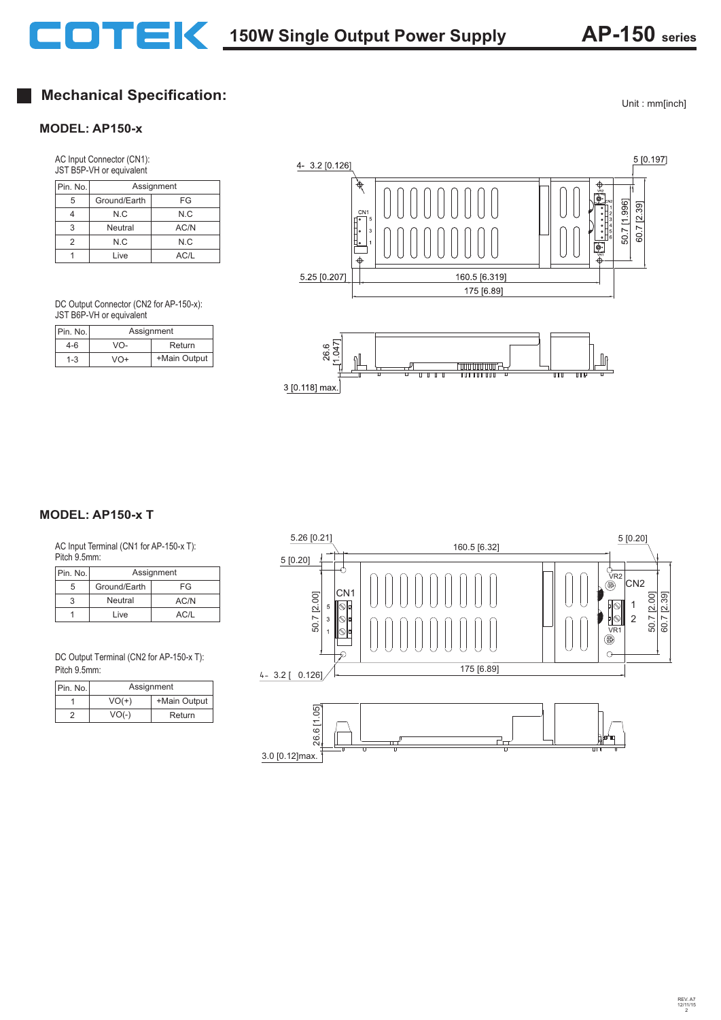## **Mechanical Specification:**

#### **MODEL: AP150-x**

AC Input Connector (CN1): JST B5P-VH or equivalent

| Pin. No. | Assignment   |      |  |
|----------|--------------|------|--|
| 5        | Ground/Earth | FG   |  |
|          | N.C          | N.C  |  |
| 3        | Neutral      | AC/N |  |
| 2        | N.C          | N.C  |  |
|          | Live         | AC/L |  |

DC Output Connector (CN2 for AP-150-x): JST B6P-VH or equivalent

| Pin. No. | Assignment |              |  |
|----------|------------|--------------|--|
| 4-6      | VO-        | Return       |  |
| $1 - 3$  | VO+        | +Main Output |  |





AC Input Terminal (CN1 for AP-150-x T): Pitch 9.5mm:

| Pin. No. | Assignment   |      |  |
|----------|--------------|------|--|
| 5        | Ground/Earth | FG   |  |
|          | Neutral      | AC/N |  |
|          | Live         | AC/I |  |

DC Output Terminal (CN2 for AP-150-x T): Pitch 9.5mm:

| Pin. No. | Assignment |              |  |
|----------|------------|--------------|--|
|          | $VO(+)$    | +Main Output |  |
|          | $VO(-)$    | Return       |  |



Unit : mm[inch]